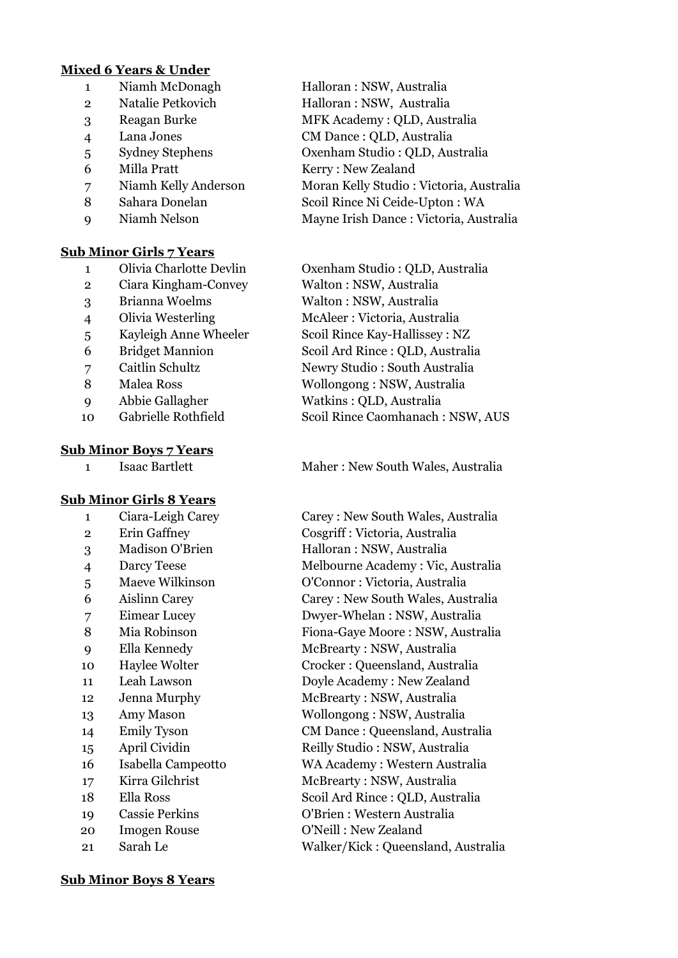# **Mixed 6 Years & Under**

- 
- 
- 
- 
- 
- 
- 
- 
- 

# **Sub Minor Girls 7 Years**

- 
- Ciara Kingham-Convey Walton : NSW, Australia
- 
- 
- 
- 
- 
- 
- 
- 

# **Sub Minor Boys 7 Years**

# **Sub Minor Girls 8 Years**

- 
- 
- 
- 
- 
- 
- 
- 
- 
- 
- 
- 
- 
- 
- 
- 
- 
- 
- 
- 
- 

# Niamh McDonagh Halloran : NSW, Australia Natalie Petkovich Halloran : NSW, Australia Reagan Burke MFK Academy : QLD, Australia Lana Jones CM Dance : QLD, Australia Sydney Stephens Oxenham Studio : QLD, Australia Milla Pratt Kerry : New Zealand Niamh Kelly Anderson Moran Kelly Studio : Victoria, Australia 8 Sahara Donelan Scoil Rince Ni Ceide-Upton : WA Niamh Nelson Mayne Irish Dance : Victoria, Australia

 Olivia Charlotte Devlin Oxenham Studio : QLD, Australia Brianna Woelms Walton : NSW, Australia Olivia Westerling McAleer : Victoria, Australia Kayleigh Anne Wheeler Scoil Rince Kay-Hallissey : NZ Bridget Mannion Scoil Ard Rince : QLD, Australia Caitlin Schultz Newry Studio : South Australia Malea Ross Wollongong : NSW, Australia Abbie Gallagher Watkins : QLD, Australia Gabrielle Rothfield Scoil Rince Caomhanach : NSW, AUS

# 1 Isaac Bartlett Maher : New South Wales, Australia

 Ciara-Leigh Carey Carey : New South Wales, Australia Erin Gaffney Cosgriff : Victoria, Australia 3 Madison O'Brien Halloran : NSW, Australia Darcy Teese Melbourne Academy : Vic, Australia Maeve Wilkinson O'Connor : Victoria, Australia Aislinn Carey Carey : New South Wales, Australia Eimear Lucey Dwyer-Whelan : NSW, Australia 8 Mia Robinson Fiona-Gaye Moore : NSW, Australia Ella Kennedy McBrearty : NSW, Australia Haylee Wolter Crocker : Queensland, Australia Leah Lawson Doyle Academy : New Zealand Jenna Murphy McBrearty : NSW, Australia Amy Mason Wollongong : NSW, Australia Emily Tyson CM Dance : Queensland, Australia April Cividin Reilly Studio : NSW, Australia Isabella Campeotto WA Academy : Western Australia Kirra Gilchrist McBrearty : NSW, Australia 18 Ella Ross Scoil Ard Rince : QLD, Australia Cassie Perkins O'Brien : Western Australia Imogen Rouse O'Neill : New Zealand Sarah Le Walker/Kick : Queensland, Australia

#### **Sub Minor Boys 8 Years**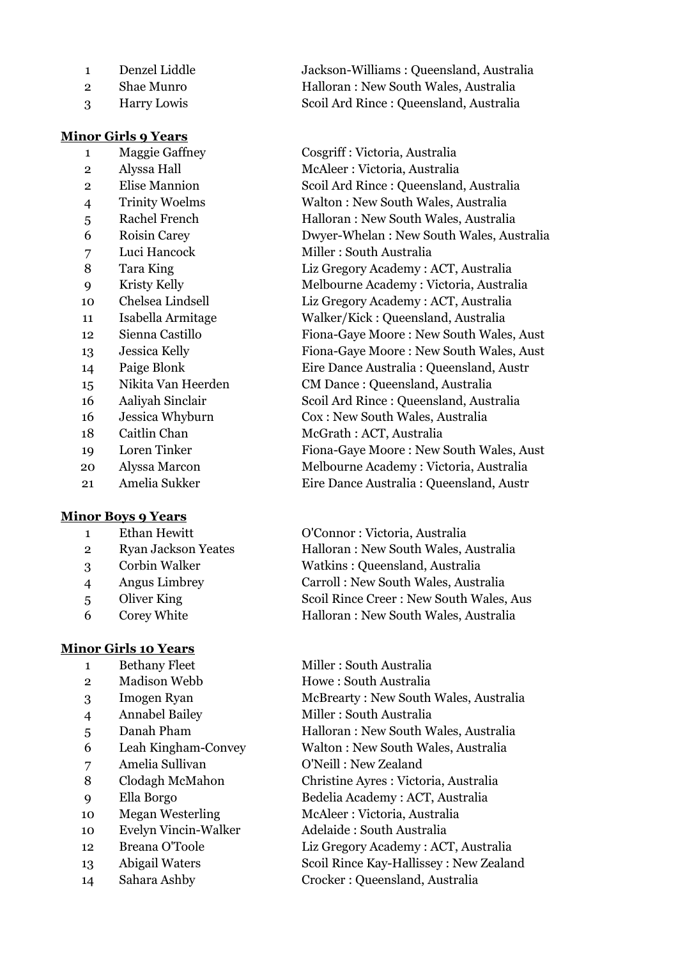- 
- 

# **Minor Girls 9 Years**

 Luci Hancock Miller : South Australia 18 Caitlin Chan McGrath : ACT, Australia

# **Minor Boys 9 Years**

- 
- 
- 
- 
- 
- 

# **Minor Girls 10 Years**

- 
- 
- 
- 
- 
- 
- 
- 
- 
- 
- 
- 
- Abigail Waters Scoil Rince Kay-Hallissey : New Zealand
- 

e 1 Denzel Jackson-Williams : Queensland, Australia Shae Munro Halloran : New South Wales, Australia Harry Lowis Scoil Ard Rince : Queensland, Australia

 Maggie Gaffney Cosgriff : Victoria, Australia Alyssa Hall McAleer : Victoria, Australia Elise Mannion Scoil Ard Rince : Queensland, Australia Trinity Woelms Walton : New South Wales, Australia Rachel French Halloran : New South Wales, Australia Roisin Carey Dwyer-Whelan : New South Wales, Australia Tara King Liz Gregory Academy : ACT, Australia Kristy Kelly Melbourne Academy : Victoria, Australia Chelsea Lindsell Liz Gregory Academy : ACT, Australia Isabella Armitage Walker/Kick : Queensland, Australia Sienna Castillo Fiona-Gaye Moore : New South Wales, Aust Jessica Kelly Fiona-Gaye Moore : New South Wales, Aust Paige Blonk Eire Dance Australia : Queensland, Austr Nikita Van Heerden CM Dance : Queensland, Australia Aaliyah Sinclair Scoil Ard Rince : Queensland, Australia Jessica Whyburn Cox : New South Wales, Australia Loren Tinker Fiona-Gaye Moore : New South Wales, Aust Alyssa Marcon Melbourne Academy : Victoria, Australia Amelia Sukker Eire Dance Australia : Queensland, Austr

 Ethan Hewitt O'Connor : Victoria, Australia Ryan Jackson Yeates Halloran : New South Wales, Australia Corbin Walker Watkins : Queensland, Australia Angus Limbrey Carroll : New South Wales, Australia 5 Oliver King Scoil Rince Creer : New South Wales, Aus Corey White Halloran : New South Wales, Australia

1 Bethany Fleet Miller : South Australia 2 Madison Webb Howe : South Australia Imogen Ryan McBrearty : New South Wales, Australia Annabel Bailey Miller : South Australia 5 Danah Pham Halloran : New South Wales, Australia Leah Kingham-Convey Walton : New South Wales, Australia Amelia Sullivan O'Neill : New Zealand Clodagh McMahon Christine Ayres : Victoria, Australia Ella Borgo Bedelia Academy : ACT, Australia Megan Westerling McAleer : Victoria, Australia Evelyn Vincin-Walker Adelaide : South Australia Breana O'Toole Liz Gregory Academy : ACT, Australia

Sahara Ashby Crocker : Queensland, Australia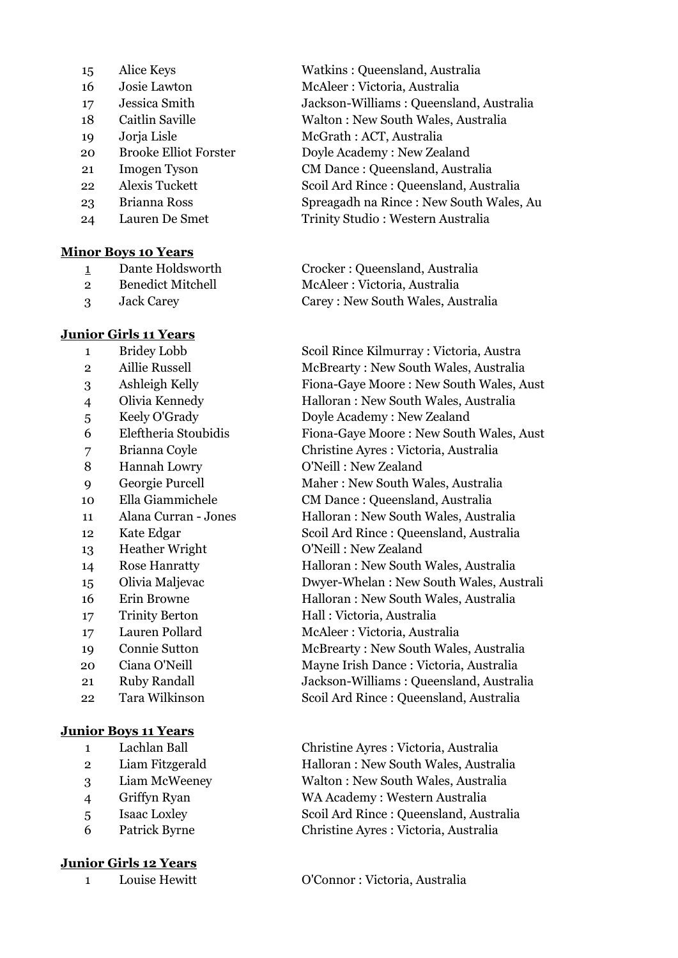- 
- 
- 
- 
- 
- 
- 
- 
- 
- 

# **Minor Boys 10 Years**

- 
- 
- 

# **Junior Girls 11 Years**

- 
- 
- 
- 
- 
- 
- 
- 
- 
- 
- 
- 
- 
- 
- 
- 
- 
- 
- 
- 
- 

# **Junior Boys 11 Years**

- 
- 
- 
- 
- 
- 

# **Junior Girls 12 Years**

 Alice Keys Watkins : Queensland, Australia Josie Lawton McAleer : Victoria, Australia Jessica Smith Jackson-Williams : Queensland, Australia Caitlin Saville Walton : New South Wales, Australia Jorja Lisle McGrath : ACT, Australia Brooke Elliot Forster Doyle Academy : New Zealand Imogen Tyson CM Dance : Queensland, Australia Alexis Tuckett Scoil Ard Rince : Queensland, Australia Brianna Ross Spreagadh na Rince : New South Wales, Au Lauren De Smet Trinity Studio : Western Australia

 Dante Holdsworth Crocker : Queensland, Australia 2 Benedict Mitchell McAleer : Victoria, Australia Jack Carey Carey : New South Wales, Australia

 Bridey Lobb Scoil Rince Kilmurray : Victoria, Austra Aillie Russell McBrearty : New South Wales, Australia Ashleigh Kelly Fiona-Gaye Moore : New South Wales, Aust Olivia Kennedy Halloran : New South Wales, Australia Keely O'Grady Doyle Academy : New Zealand Eleftheria Stoubidis Fiona-Gaye Moore : New South Wales, Aust Brianna Coyle Christine Ayres : Victoria, Australia Hannah Lowry O'Neill : New Zealand Georgie Purcell Maher : New South Wales, Australia Ella Giammichele CM Dance : Queensland, Australia Alana Curran - Jones Halloran : New South Wales, Australia Kate Edgar Scoil Ard Rince : Queensland, Australia Heather Wright O'Neill : New Zealand Rose Hanratty Halloran : New South Wales, Australia Olivia Maljevac Dwyer-Whelan : New South Wales, Australi Erin Browne Halloran : New South Wales, Australia Trinity Berton Hall : Victoria, Australia Lauren Pollard McAleer : Victoria, Australia Connie Sutton McBrearty : New South Wales, Australia Ciana O'Neill Mayne Irish Dance : Victoria, Australia Ruby Randall Jackson-Williams : Queensland, Australia Tara Wilkinson Scoil Ard Rince : Queensland, Australia

 Lachlan Ball Christine Ayres : Victoria, Australia Liam Fitzgerald Halloran : New South Wales, Australia Liam McWeeney Walton : New South Wales, Australia Griffyn Ryan WA Academy : Western Australia Isaac Loxley Scoil Ard Rince : Queensland, Australia Patrick Byrne Christine Ayres : Victoria, Australia

Louise Hewitt O'Connor : Victoria, Australia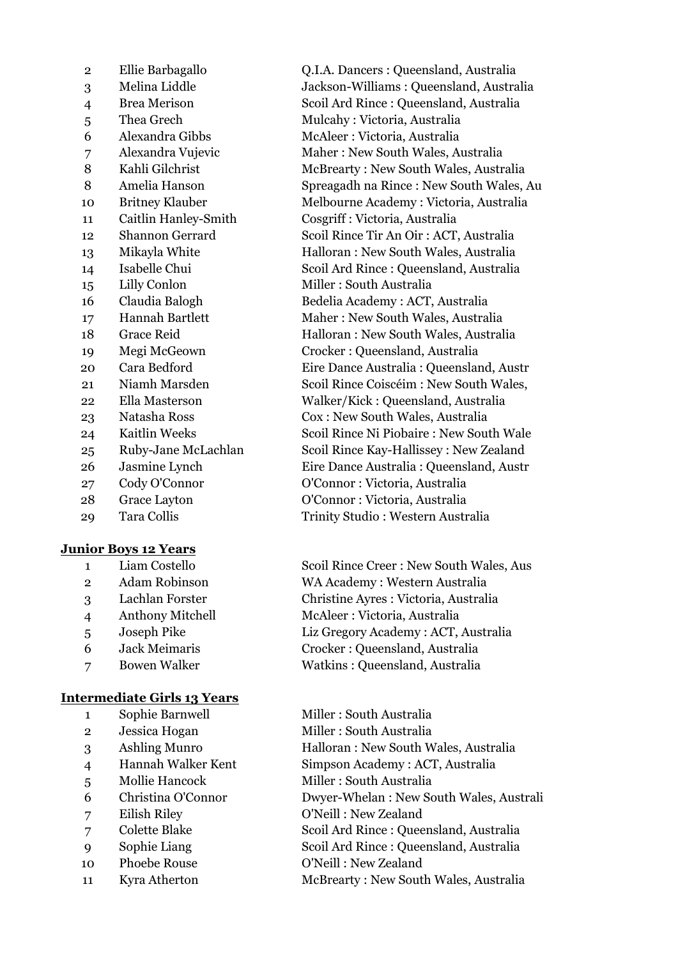| $\overline{2}$              | Ellie Barbagallo       |  |
|-----------------------------|------------------------|--|
| 3                           | Melina Liddle          |  |
| 4                           | <b>Brea Merison</b>    |  |
| 5                           | Thea Grech             |  |
| 6                           | Alexandra Gibbs        |  |
| $\overline{7}$              | Alexandra Vujevic      |  |
| 8                           | Kahli Gilchrist        |  |
| 8                           | Amelia Hanson          |  |
| 10                          | <b>Britney Klauber</b> |  |
| 11                          | Caitlin Hanley-Smith   |  |
| 12                          | <b>Shannon Gerrard</b> |  |
| 13                          | Mikayla White          |  |
| 14                          | Isabelle Chui          |  |
| $15 \overline{\phantom{0}}$ | Lilly Conlon           |  |
| 16                          | Claudia Balogh         |  |
| 17                          | <b>Hannah Bartlett</b> |  |
| 18                          | <b>Grace Reid</b>      |  |
| 19                          | Megi McGeown           |  |
| 20                          | Cara Bedford           |  |
| 21                          | Niamh Marsden          |  |
| 22                          | Ella Masterson         |  |
| 23                          | Natasha Ross           |  |
| 24                          | <b>Kaitlin Weeks</b>   |  |
| 25                          | Ruby-Jane McLachlan    |  |
| 26                          | Jasmine Lynch          |  |
| 27                          | Cody O'Connor          |  |
| 28                          | <b>Grace Layton</b>    |  |
| 29                          | Tara Collis            |  |
| <b>Junior Boys 12 Years</b> |                        |  |

| Liam Costello |  |
|---------------|--|
|---------------|--|

- 
- 
- 
- 
- 
- 

# **Intermediate Girls 13 Years**

- 
- 
- 
- 
- 
- 
- 
- 
- 
- 10 Phoebe Rouse O'Neill : New Zealand
- 

O.I.A. Dancers : Queensland, Australia Jackson-Williams : Queensland, Australia Scoil Ard Rince : Queensland, Australia 5 Thea Grech Mulcahy : Victoria, Australia McAleer : Victoria, Australia Maher : New South Wales, Australia McBrearty : New South Wales, Australia Spreagadh na Rince : New South Wales, Au Melbourne Academy : Victoria, Australia  $Cosgriff$  : Victoria, Australia Scoil Rince Tir An Oir : ACT, Australia Halloran : New South Wales, Australia Scoil Ard Rince : Queensland, Australia Miller : South Australia Bedelia Academy : ACT, Australia Maher : New South Wales, Australia Halloran : New South Wales, Australia 19 Megi McGeown Crocker : Queensland, Australia Eire Dance Australia : Queensland, Austr Scoil Rince Coiscéim : New South Wales, Walker/Kick : Queensland, Australia Cox : New South Wales, Australia Scoil Rince Ni Piobaire : New South Wale Scoil Rince Kay-Hallissey : New Zealand Eire Dance Australia : Queensland, Austr O'Connor : Victoria, Australia O'Connor : Victoria, Australia Trinity Studio : Western Australia

Scoil Rince Creer : New South Wales, Aus Adam Robinson WA Academy : Western Australia Lachlan Forster Christine Ayres : Victoria, Australia Anthony Mitchell McAleer : Victoria, Australia Joseph Pike Liz Gregory Academy : ACT, Australia Jack Meimaris Crocker : Queensland, Australia Bowen Walker Watkins : Queensland, Australia

1 Sophie Barnwell Miller : South Australia Jessica Hogan Miller : South Australia Ashling Munro Halloran : New South Wales, Australia Hannah Walker Kent Simpson Academy : ACT, Australia Mollie Hancock Miller : South Australia Christina O'Connor Dwyer-Whelan : New South Wales, Australi Eilish Riley O'Neill : New Zealand Colette Blake Scoil Ard Rince : Queensland, Australia Sophie Liang Scoil Ard Rince : Queensland, Australia

11 Kyra Atherton McBrearty : New South Wales, Australia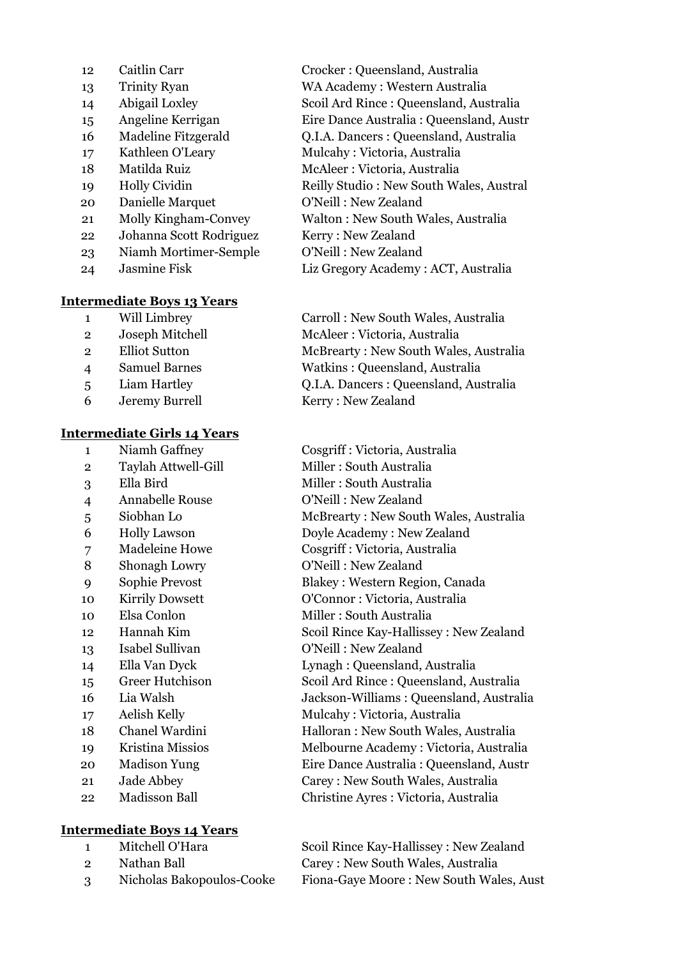- Caitlin Carr Crocker : Queensland, Australia Kathleen O'Leary Mulcahy : Victoria, Australia Matilda Ruiz McAleer : Victoria, Australia Danielle Marquet O'Neill : New Zealand Johanna Scott Rodriguez Kerry : New Zealand Niamh Mortimer-Semple O'Neill : New Zealand
- 

#### **Intermediate Boys 13 Years**

- 
- 
- 
- 
- 
- 

#### **Intermediate Girls 14 Years**

- 
- 
- 
- 
- 
- 
- 
- 
- 
- 
- 
- 
- 
- 
- 
- 
- 
- 
- 

# **Intermediate Boys 14 Years**

- 
- 
- 

 Trinity Ryan WA Academy : Western Australia Abigail Loxley Scoil Ard Rince : Queensland, Australia Angeline Kerrigan Eire Dance Australia : Queensland, Austr Madeline Fitzgerald Q.I.A. Dancers : Queensland, Australia Holly Cividin Reilly Studio : New South Wales, Austral Molly Kingham-Convey Walton : New South Wales, Australia

Jasmine Fisk Liz Gregory Academy : ACT, Australia

 Will Limbrey Carroll : New South Wales, Australia Joseph Mitchell McAleer : Victoria, Australia Elliot Sutton McBrearty : New South Wales, Australia Samuel Barnes Watkins : Queensland, Australia Liam Hartley Q.I.A. Dancers : Queensland, Australia Jeremy Burrell Kerry : New Zealand

 Niamh Gaffney Cosgriff : Victoria, Australia 2 Taylah Attwell-Gill Miller : South Australia 3 Ella Bird Miller : South Australia Annabelle Rouse O'Neill : New Zealand Siobhan Lo McBrearty : New South Wales, Australia Holly Lawson Doyle Academy : New Zealand Madeleine Howe Cosgriff : Victoria, Australia 8 Shonagh Lowry O'Neill : New Zealand Sophie Prevost Blakey : Western Region, Canada Kirrily Dowsett O'Connor : Victoria, Australia 10 Elsa Conlon Miller : South Australia Hannah Kim Scoil Rince Kay-Hallissey : New Zealand Isabel Sullivan O'Neill : New Zealand Ella Van Dyck Lynagh : Queensland, Australia Greer Hutchison Scoil Ard Rince : Queensland, Australia Lia Walsh Jackson-Williams : Queensland, Australia Aelish Kelly Mulcahy : Victoria, Australia Chanel Wardini Halloran : New South Wales, Australia Kristina Missios Melbourne Academy : Victoria, Australia Madison Yung Eire Dance Australia : Queensland, Austr Jade Abbey Carey : New South Wales, Australia Madisson Ball Christine Ayres : Victoria, Australia

 Mitchell O'Hara Scoil Rince Kay-Hallissey : New Zealand Nathan Ball Carey : New South Wales, Australia Nicholas Bakopoulos-Cooke Fiona-Gaye Moore : New South Wales, Aust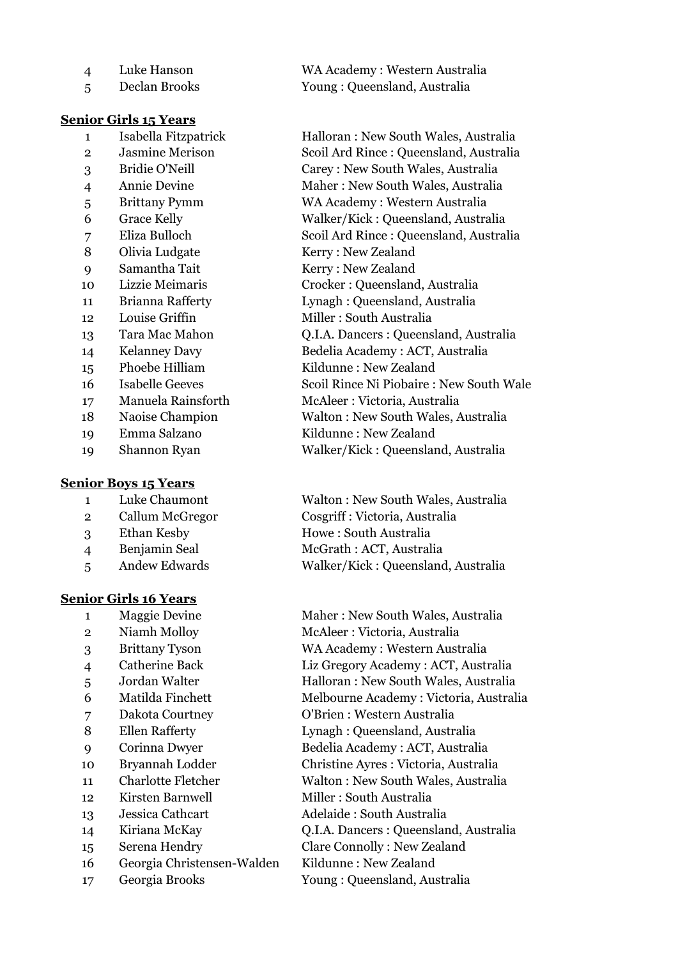| $\boldsymbol{\Delta}$ | Luke Hanson   | WA Academy: Western Australia |
|-----------------------|---------------|-------------------------------|
|                       | Declan Brooks | Young: Queensland, Australia  |

#### **Senior Girls 15 Years**

- 
- 
- 
- 
- 
- 
- 
- 
- 
- 
- 
- 
- 
- 
- 
- 
- 
- 
- 

#### **Senior Boys 15 Years**

- 
- 
- 
- 
- 

#### **Senior Girls 16 Years**

- 
- 
- 
- 
- 
- 
- 
- 
- 
- 
- 
- 12 Kirsten Barnwell Miller : South Australia
- 
- 
- 
- Georgia Christensen-Walden Kildunne : New Zealand
- Georgia Brooks Young : Queensland, Australia

 Isabella Fitzpatrick Halloran : New South Wales, Australia Jasmine Merison Scoil Ard Rince : Queensland, Australia Bridie O'Neill Carey : New South Wales, Australia Annie Devine Maher : New South Wales, Australia Brittany Pymm WA Academy : Western Australia Grace Kelly Walker/Kick : Queensland, Australia Eliza Bulloch Scoil Ard Rince : Queensland, Australia 8 Olivia Ludgate Kerry : New Zealand Samantha Tait Kerry : New Zealand Lizzie Meimaris Crocker : Queensland, Australia Brianna Rafferty Lynagh : Queensland, Australia 12 Louise Griffin Miller : South Australia Tara Mac Mahon Q.I.A. Dancers : Queensland, Australia Kelanney Davy Bedelia Academy : ACT, Australia Phoebe Hilliam Kildunne : New Zealand Isabelle Geeves Scoil Rince Ni Piobaire : New South Wale Manuela Rainsforth McAleer : Victoria, Australia Naoise Champion Walton : New South Wales, Australia Emma Salzano Kildunne : New Zealand Shannon Ryan Walker/Kick : Queensland, Australia

 Luke Chaumont Walton : New South Wales, Australia Callum McGregor Cosgriff : Victoria, Australia Ethan Kesby Howe : South Australia Benjamin Seal McGrath : ACT, Australia Andew Edwards Walker/Kick : Queensland, Australia

1 Maggie Devine Maher : New South Wales, Australia Niamh Molloy McAleer : Victoria, Australia Brittany Tyson WA Academy : Western Australia Catherine Back Liz Gregory Academy : ACT, Australia Jordan Walter Halloran : New South Wales, Australia Matilda Finchett Melbourne Academy : Victoria, Australia Dakota Courtney O'Brien : Western Australia Ellen Rafferty Lynagh : Queensland, Australia Corinna Dwyer Bedelia Academy : ACT, Australia Bryannah Lodder Christine Ayres : Victoria, Australia Charlotte Fletcher Walton : New South Wales, Australia Jessica Cathcart Adelaide : South Australia Kiriana McKay Q.I.A. Dancers : Queensland, Australia Serena Hendry Clare Connolly : New Zealand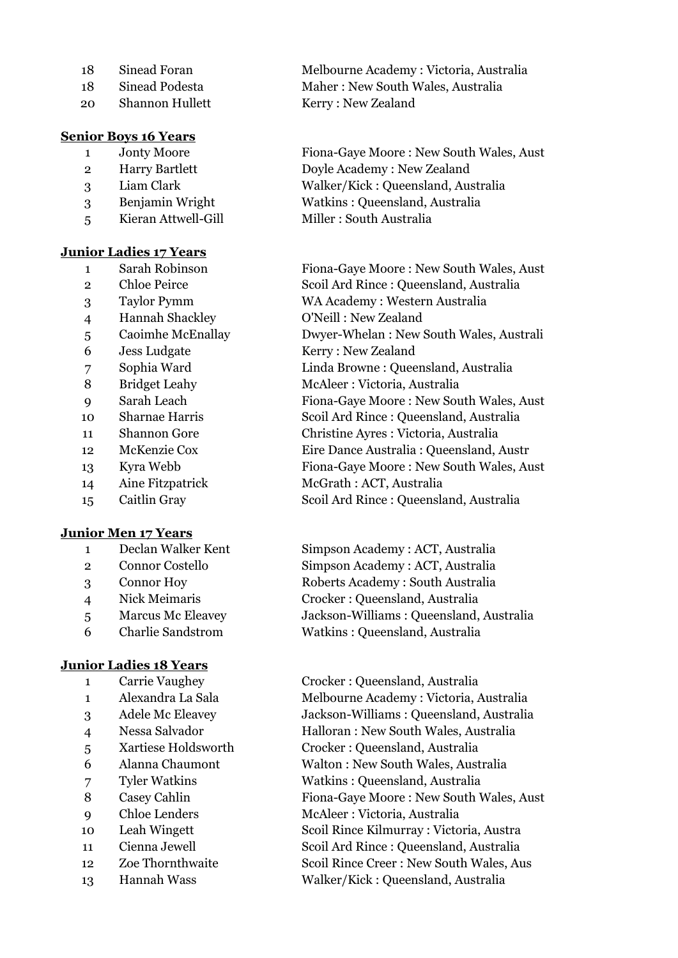- 
- 
- Shannon Hullett Kerry : New Zealand

## **Senior Boys 16 Years**

- 
- 
- 
- 
- 

#### **Junior Ladies 17 Years**

- 
- 
- 
- Hannah Shackley O'Neill : New Zealand
- 
- 
- 
- 
- 
- 
- 
- 
- 
- 
- 

# **Junior Men 17 Years**

- 
- 
- 
- 
- 
- 

# **Junior Ladies 18 Years**

- 
- 
- 
- 
- 
- 
- 
- 
- 
- 
- 
- 
- 

 Sinead Foran Melbourne Academy : Victoria, Australia Sinead Podesta Maher : New South Wales, Australia

 Jonty Moore Fiona-Gaye Moore : New South Wales, Aust Harry Bartlett Doyle Academy : New Zealand Liam Clark Walker/Kick : Queensland, Australia Benjamin Wright Watkins : Queensland, Australia Kieran Attwell-Gill Miller : South Australia

 Sarah Robinson Fiona-Gaye Moore : New South Wales, Aust Chloe Peirce Scoil Ard Rince : Queensland, Australia Taylor Pymm WA Academy : Western Australia Caoimhe McEnallay Dwyer-Whelan : New South Wales, Australi Jess Ludgate Kerry : New Zealand Sophia Ward Linda Browne : Queensland, Australia Bridget Leahy McAleer : Victoria, Australia Sarah Leach Fiona-Gaye Moore : New South Wales, Aust Sharnae Harris Scoil Ard Rince : Queensland, Australia Shannon Gore Christine Ayres : Victoria, Australia McKenzie Cox Eire Dance Australia : Queensland, Austr Kyra Webb Fiona-Gaye Moore : New South Wales, Aust Aine Fitzpatrick McGrath : ACT, Australia Caitlin Gray Scoil Ard Rince : Queensland, Australia

 Declan Walker Kent Simpson Academy : ACT, Australia Connor Costello Simpson Academy : ACT, Australia Connor Hoy Roberts Academy : South Australia Nick Meimaris Crocker : Queensland, Australia Marcus Mc Eleavey Jackson-Williams : Queensland, Australia Charlie Sandstrom Watkins : Queensland, Australia

 Carrie Vaughey Crocker : Queensland, Australia Alexandra La Sala Melbourne Academy : Victoria, Australia Adele Mc Eleavey Jackson-Williams : Queensland, Australia Nessa Salvador Halloran : New South Wales, Australia Xartiese Holdsworth Crocker : Queensland, Australia Alanna Chaumont Walton : New South Wales, Australia Tyler Watkins Watkins : Queensland, Australia Casey Cahlin Fiona-Gaye Moore : New South Wales, Aust Chloe Lenders McAleer : Victoria, Australia Leah Wingett Scoil Rince Kilmurray : Victoria, Austra Cienna Jewell Scoil Ard Rince : Queensland, Australia Zoe Thornthwaite Scoil Rince Creer : New South Wales, Aus Hannah Wass Walker/Kick : Queensland, Australia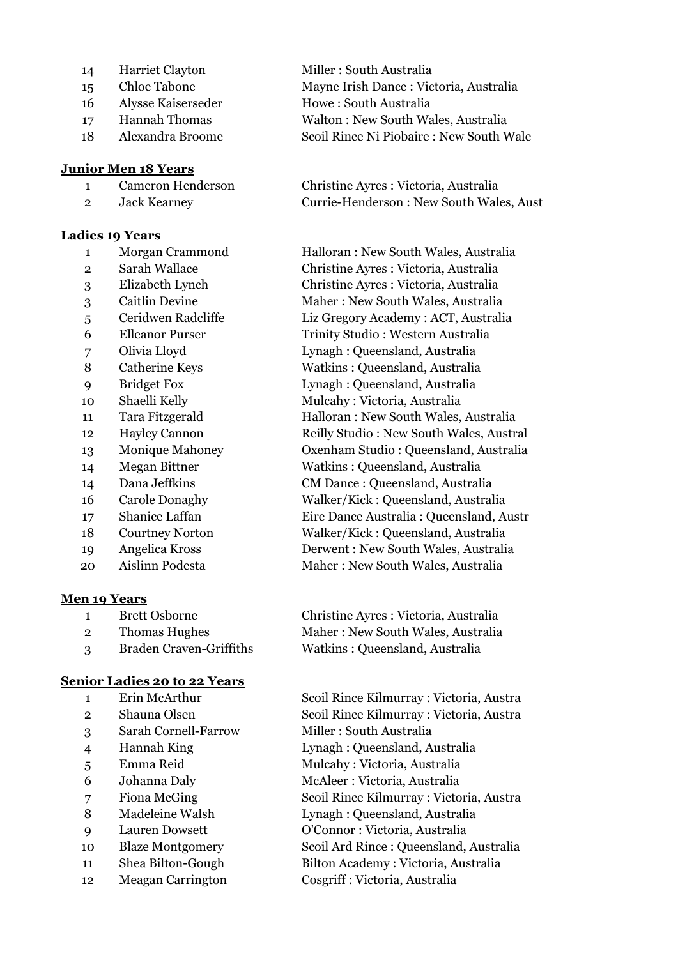- 
- 
- Alysse Kaiserseder Howe : South Australia
- 
- 

#### **Junior Men 18 Years**

- 
- 

## **Ladies 19 Years**

- 
- 
- 
- 
- 
- 
- 
- 
- 
- 
- 
- 
- 
- 
- 
- 
- 
- 
- 
- 

# **Men 19 Years**

- 
- 
- 

# **Senior Ladies 20 to 22 Years**

- 
- 
- Sarah Cornell-Farrow Miller : South Australia
- 
- 
- 
- 
- 
- 
- 
- 
- 

14 Harriet Clayton Miller : South Australia Chloe Tabone Mayne Irish Dance : Victoria, Australia Hannah Thomas Walton : New South Wales, Australia Alexandra Broome Scoil Rince Ni Piobaire : New South Wale

 Cameron Henderson Christine Ayres : Victoria, Australia Jack Kearney Currie-Henderson : New South Wales, Aust

 Morgan Crammond Halloran : New South Wales, Australia Sarah Wallace Christine Ayres : Victoria, Australia Elizabeth Lynch Christine Ayres : Victoria, Australia Caitlin Devine Maher : New South Wales, Australia Ceridwen Radcliffe Liz Gregory Academy : ACT, Australia Elleanor Purser Trinity Studio : Western Australia Olivia Lloyd Lynagh : Queensland, Australia Catherine Keys Watkins : Queensland, Australia Bridget Fox Lynagh : Queensland, Australia Shaelli Kelly Mulcahy : Victoria, Australia Tara Fitzgerald Halloran : New South Wales, Australia Hayley Cannon Reilly Studio : New South Wales, Austral Monique Mahoney Oxenham Studio : Queensland, Australia Megan Bittner Watkins : Queensland, Australia Dana Jeffkins CM Dance : Queensland, Australia Carole Donaghy Walker/Kick : Queensland, Australia Shanice Laffan Eire Dance Australia : Queensland, Austr Courtney Norton Walker/Kick : Queensland, Australia Angelica Kross Derwent : New South Wales, Australia Aislinn Podesta Maher : New South Wales, Australia

 Brett Osborne Christine Ayres : Victoria, Australia 2 Thomas Hughes Maher : New South Wales, Australia Braden Craven-Griffiths Watkins : Queensland, Australia

 Erin McArthur Scoil Rince Kilmurray : Victoria, Austra Shauna Olsen Scoil Rince Kilmurray : Victoria, Austra Hannah King Lynagh : Queensland, Australia Emma Reid Mulcahy : Victoria, Australia Johanna Daly McAleer : Victoria, Australia Fiona McGing Scoil Rince Kilmurray : Victoria, Austra 8 Madeleine Walsh Lynagh : Queensland, Australia Lauren Dowsett O'Connor : Victoria, Australia Blaze Montgomery Scoil Ard Rince : Queensland, Australia Shea Bilton-Gough Bilton Academy : Victoria, Australia Meagan Carrington Cosgriff : Victoria, Australia